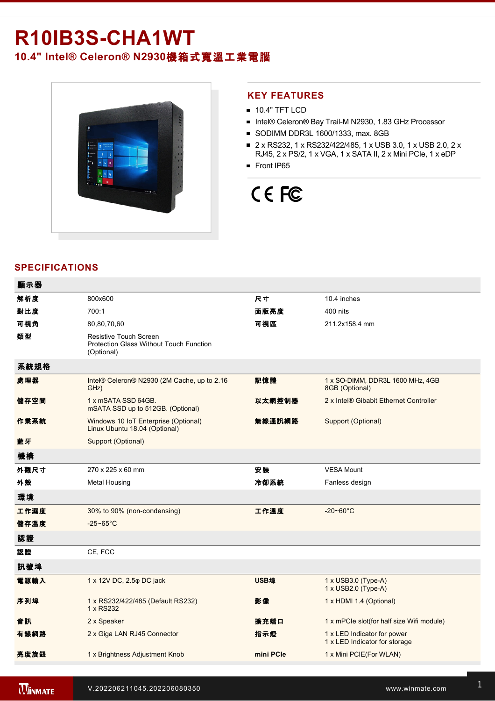## R10IB3S-CHA1WT **10.4" Intel® Celeron® N2930**機箱式寬溫工業電腦



#### **KEY FEATURES**

- **10.4" TFT LCD**
- Intel® Celeron® Bay Trail-M N2930, 1.83 GHz Processor
- SODIMM DDR3L 1600/1333, max. 8GB
- 2 x RS232, 1 x RS232/422/485, 1 x USB 3.0, 1 x USB 2.0, 2 x RJ45, 2 x PS/2, 1 x VGA, 1 x SATA II, 2 x Mini PCIe, 1 x eDP
- Front IP65

# CE FC

### **SPECIFICATIONS**

| 顯示器  |                                                                                               |             |                                                              |
|------|-----------------------------------------------------------------------------------------------|-------------|--------------------------------------------------------------|
| 解析度  | 800x600                                                                                       | 尺寸          | 10.4 inches                                                  |
| 對比度  | 700:1                                                                                         | 面版亮度        | 400 nits                                                     |
| 可視角  | 80,80,70,60                                                                                   | 可視區         | 211.2x158.4 mm                                               |
| 類型   | <b>Resistive Touch Screen</b><br><b>Protection Glass Without Touch Function</b><br>(Optional) |             |                                                              |
| 系統規格 |                                                                                               |             |                                                              |
| 處理器  | Intel® Celeron® N2930 (2M Cache, up to 2.16<br>GHz)                                           | 記憶體         | 1 x SO-DIMM, DDR3L 1600 MHz, 4GB<br>8GB (Optional)           |
| 儲存空間 | 1 x mSATA SSD 64GB.<br>mSATA SSD up to 512GB. (Optional)                                      | 以太網控制器      | 2 x Intel® Gibabit Ethernet Controller                       |
| 作業系統 | Windows 10 IoT Enterprise (Optional)<br>Linux Ubuntu 18.04 (Optional)                         | 無線通訊網路      | Support (Optional)                                           |
| 藍牙   | Support (Optional)                                                                            |             |                                                              |
| 機構   |                                                                                               |             |                                                              |
| 外觀尺寸 | 270 x 225 x 60 mm                                                                             | 安装          | <b>VESA Mount</b>                                            |
| 外殼   | <b>Metal Housing</b>                                                                          | 冷卻系統        | Fanless design                                               |
| 環境   |                                                                                               |             |                                                              |
| 工作濕度 | 30% to 90% (non-condensing)                                                                   | 工作溫度        | $-20 - 60^{\circ}$ C                                         |
| 儲存溫度 | $-25 - 65$ °C                                                                                 |             |                                                              |
| 認證   |                                                                                               |             |                                                              |
| 認證   | CE, FCC                                                                                       |             |                                                              |
| 訊號埠  |                                                                                               |             |                                                              |
| 電源輸入 | 1 x 12V DC, 2.5 $\varphi$ DC jack                                                             | <b>USB埠</b> | 1 x USB3.0 (Type-A)<br>1 x USB2.0 (Type-A)                   |
| 序列埠  | 1 x RS232/422/485 (Default RS232)<br>1 x RS232                                                | 影像          | 1 x HDMI 1.4 (Optional)                                      |
| 音訊   | 2 x Speaker                                                                                   | 擴充端口        | 1 x mPCle slot(for half size Wifi module)                    |
| 有線網路 | 2 x Giga LAN RJ45 Connector                                                                   | 指示燈         | 1 x LED Indicator for power<br>1 x LED Indicator for storage |
| 亮度旋鈕 | 1 x Brightness Adjustment Knob                                                                | mini PCle   | 1 x Mini PCIE(For WLAN)                                      |
|      |                                                                                               |             |                                                              |